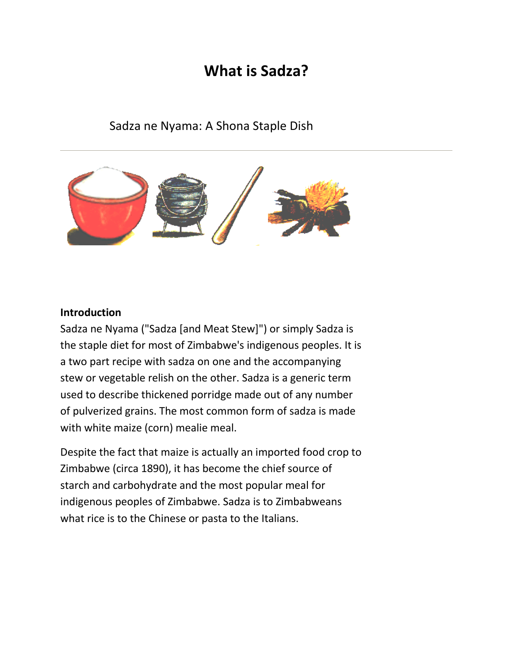# **What is Sadza?**

## Sadza ne Nyama: A Shona Staple Dish



#### **Introduction**

Sadza ne Nyama ("Sadza [and Meat Stew]") or simply Sadza is the staple diet for most of Zimbabwe's indigenous peoples. It is a two part recipe with sadza on one and the accompanying stew or vegetable relish on the other. Sadza is a generic term used to describe thickened porridge made out of any number of pulverized [grains.](http://www.zambuko.com/mbirapage/resource_guide/pages/culture/sadza_text.html#GRAINS) The most common form of sadza is made with white maize (corn) mealie meal.

Despite the fact that maize is actually an imported food crop to Zimbabwe (circa 1890), it has become the chief source of starch and carbohydrate and the most popular meal for indigenous peoples of Zimbabwe. Sadza is to Zimbabweans what rice is to the Chinese or pasta to the Italians.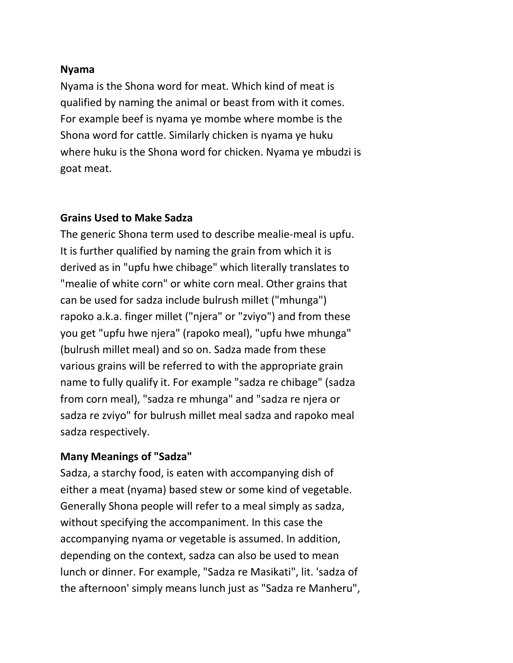### **Nyama**

Nyama is the Shona word for meat. Which kind of meat is qualified by naming the animal or beast from with it comes. For example beef is nyama ye [mombe](http://www.zambuko.com/mbirapage/resource_guide/pages/culture/glossary/mombe.html) where mombe is the Shona word for cattle. Similarly chicken is nyama ye [huku](http://www.zambuko.com/mbirapage/resource_guide/pages/culture/glossary/huku.html) where huku is the Shona word for chicken. Nyama ye [mbudzi](http://www.zambuko.com/mbirapage/resource_guide/pages/culture/glossary/mbudzi.html) is goat meat.

## **Grains Used to Make Sadza**

The generic Shona term used to describe mealie-meal is [upfu.](http://www.zambuko.com/mbirapage/resource_guide/pages/culture/glossary/upfu.html) It is further qualified by naming the grain from which it is derived as in "upfu hwe chibage" which literally translates to "mealie of white corn" or white corn meal. Other grains that can be used for sadza include bulrush millet ("mhunga") rapoko a.k.a. finger millet ("njera" or "zviyo") and from these you get "upfu hwe njera" (rapoko meal), "upfu hwe mhunga" (bulrush millet meal) and so on. Sadza made from these various grains will be referred to with the appropriate grain name to fully qualify it. For example "sadza re chibage" (sadza from corn meal), "sadza re mhunga" and "sadza re njera or sadza re zviyo" for bulrush millet meal sadza and rapoko meal sadza respectively.

## **Many Meanings of "Sadza"**

Sadza, a starchy food, is eaten with accompanying dish of either a meat (nyama) based stew or some kind of vegetable. Generally Shona people will refer to a meal simply as sadza, without specifying the accompaniment. In this case the accompanying nyama or vegetable is assumed. In addition, depending on the context, sadza can also be used to mean lunch or dinner. For example, "Sadza re Masikati", lit. 'sadza of the afternoon' simply means lunch just as "Sadza re Manheru",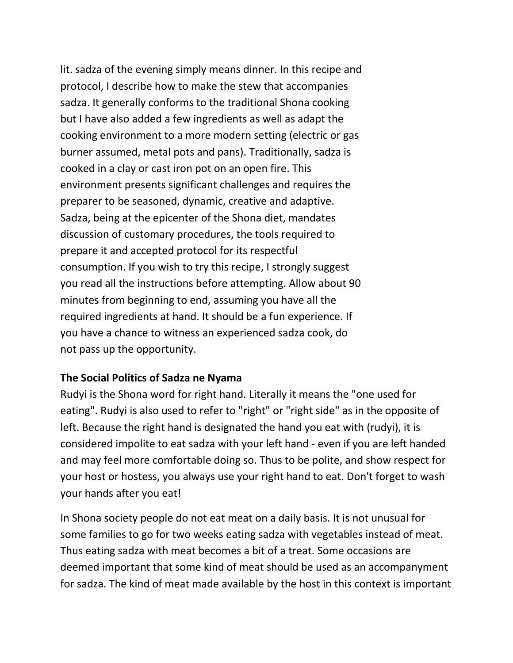lit. sadza of the evening simply means dinner. In this recipe and protocol, I describe how to make the stew that accompanies sadza. It generally conforms to the traditional Shona cooking but I have also added a few ingredients as well as adapt the cooking environment to a more modern setting (electric or gas burner assumed, metal pots and pans). Traditionally, sadza is cooked in a [clay or cast iron pot on an open fire.](http://www.zambuko.com/mbirapage/resource_guide/pages/culture/sadza_text.html#KUBIKA) This environment presents significant challenges and requires the preparer to be seasoned, dynamic, creative and adaptive. Sadza, being at the epicenter of the Shona diet, mandates discussion of customary procedures, the tools required to prepare it and accepted protocol for its respectful consumption. If you wish to try this recipe, I strongly suggest you read all the instructions before attempting. Allow about 90 minutes from beginning to end, assuming you have all the required ingredients at hand. It should be a fun experience. If you have a chance to witness an experienced sadza cook, do not pass up the opportunity.

## **The Social Politics of Sadza ne Nyama**

Rudyi is the Shona word for right hand. Literally it means the "one used for eating". Rudyi is also used to refer to "right" or "right side" as in the opposite of left. Because the right hand is designated the hand you eat with (rudyi), it is considered impolite to eat sadza with your left hand - even if you are left handed and may feel more comfortable doing so. Thus to be polite, and show respect for your host or hostess, you always use your right hand to eat. Don't forget to wash your hands after you eat!

In Shona society people do not eat meat on a daily basis. It is not unusual for some families to go for two weeks eating sadza with vegetables instead of meat. Thus eating sadza with meat becomes a bit of a treat. Some occasions are deemed important that some kind of meat should be used as an accompanyment for sadza. The kind of meat made available by the host in this context is important